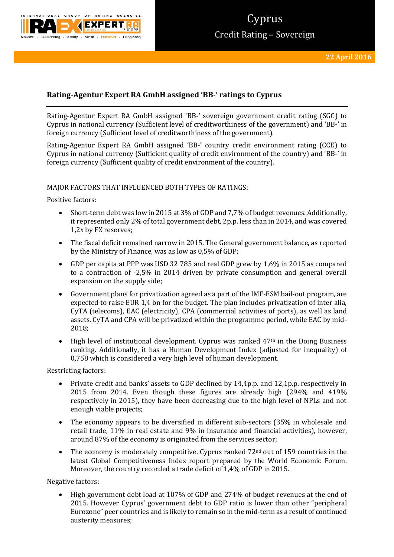

# 'vprus Credit Rating – Sovereign

# **Rating-Agentur Expert RA GmbH assigned 'BB-' ratings to Cyprus**

Rating-Agentur Expert RA GmbH assigned 'BB-' sovereign government credit rating (SGC) to Cyprus in national currency (Sufficient level of creditworthiness of the government) and 'BB-' in foreign currency (Sufficient level of creditworthiness of the government).

Rating-Agentur Expert RA GmbH assigned 'BB-' country credit environment rating (CCE) to Cyprus in national currency (Sufficient quality of credit environment of the country) and 'BB-' in foreign currency (Sufficient quality of credit environment of the country).

# MAJOR FACTORS THAT INFLUENCED BOTH TYPES OF RATINGS:

Positive factors:

- Short-term debt was low in 2015 at 3% of GDP and 7,7% of budget revenues. Additionally, it represented only 2% of total government debt, 2p.p. less than in 2014, and was covered 1,2x by FX reserves;
- The fiscal deficit remained narrow in 2015. The General government balance, as reported by the Ministry of Finance, was as low as 0,5% of GDP;
- GDP per capita at PPP was USD 32 785 and real GDP grew by 1,6% in 2015 as compared to a contraction of -2,5% in 2014 driven by private consumption and general overall expansion on the supply side;
- Government plans for privatization agreed as a part of the IMF-ESM bail-out program, are expected to raise EUR 1,4 bn for the budget. The plan includes privatization of inter alia, CyTA (telecoms), EAC (electricity), CPA (commercial activities of ports), as well as land assets. CyTA and CPA will be privatized within the programme period, while EAC by mid-2018;
- High level of institutional development. Cyprus was ranked  $47<sup>th</sup>$  in the Doing Business ranking. Additionally, it has a Human Development Index (adjusted for inequality) of 0,758 which is considered a very high level of human development.

Restricting factors:

- Private credit and banks' assets to GDP declined by 14,4p.p. and 12,1p.p. respectively in 2015 from 2014. Even though these figures are already high (294% and 419% respectively in 2015), they have been decreasing due to the high level of NPLs and not enough viable projects;
- The economy appears to be diversified in different sub-sectors (35% in wholesale and retail trade, 11% in real estate and 9% in insurance and financial activities), however, around 87% of the economy is originated from the services sector;
- The economy is moderately competitive. Cyprus ranked 72nd out of 159 countries in the latest Global Competitiveness Index report prepared by the World Economic Forum. Moreover, the country recorded a trade deficit of 1,4% of GDP in 2015.

Negative factors:

 High government debt load at 107% of GDP and 274% of budget revenues at the end of 2015. However Cyprus' government debt to GDP ratio is lower than other "peripheral Eurozone" peer countries and is likely to remain so in the mid-term as a result of continued austerity measures;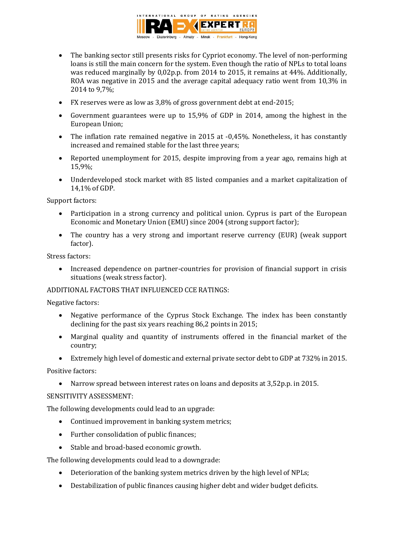

- The banking sector still presents risks for Cypriot economy. The level of non-performing loans is still the main concern for the system. Even though the ratio of NPLs to total loans was reduced marginally by 0,02p.p. from 2014 to 2015, it remains at 44%. Additionally, ROA was negative in 2015 and the average capital adequacy ratio went from 10,3% in 2014 to 9,7%;
- FX reserves were as low as 3,8% of gross government debt at end-2015;
- Government guarantees were up to 15,9% of GDP in 2014, among the highest in the European Union;
- The inflation rate remained negative in 2015 at -0,45%. Nonetheless, it has constantly increased and remained stable for the last three years;
- Reported unemployment for 2015, despite improving from a year ago, remains high at 15,9%;
- Underdeveloped stock market with 85 listed companies and a market capitalization of 14,1% of GDP.

Support factors:

- Participation in a strong currency and political union. Cyprus is part of the European Economic and Monetary Union (EMU) since 2004 (strong support factor);
- The country has a very strong and important reserve currency (EUR) (weak support factor).

Stress factors:

• Increased dependence on partner-countries for provision of financial support in crisis situations (weak stress factor).

# ADDITIONAL FACTORS THAT INFLUENCED CCE RATINGS:

Negative factors:

- Negative performance of the Cyprus Stock Exchange. The index has been constantly declining for the past six years reaching 86,2 points in 2015;
- Marginal quality and quantity of instruments offered in the financial market of the country;
- Extremely high level of domestic and external private sector debt to GDP at 732% in 2015.

Positive factors:

Narrow spread between interest rates on loans and deposits at 3,52p.p. in 2015.

### SENSITIVITY ASSESSMENT:

The following developments could lead to an upgrade:

- Continued improvement in banking system metrics;
- Further consolidation of public finances;
- Stable and broad-based economic growth.

The following developments could lead to a downgrade:

- Deterioration of the banking system metrics driven by the high level of NPLs;
- Destabilization of public finances causing higher debt and wider budget deficits.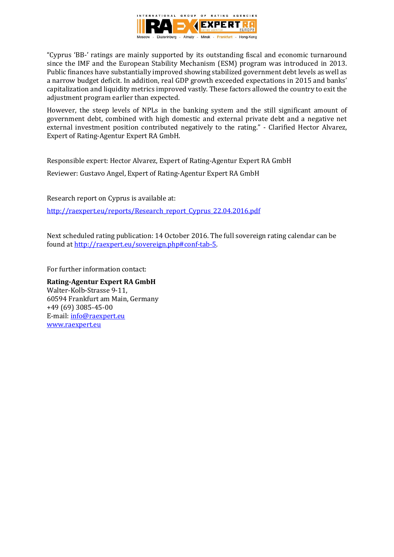

"Cyprus 'BB-' ratings are mainly supported by its outstanding fiscal and economic turnaround since the IMF and the European Stability Mechanism (ESM) program was introduced in 2013. Public finances have substantially improved showing stabilized government debt levels as well as a narrow budget deficit. In addition, real GDP growth exceeded expectations in 2015 and banks' capitalization and liquidity metrics improved vastly. These factors allowed the country to exit the adjustment program earlier than expected.

However, the steep levels of NPLs in the banking system and the still significant amount of government debt, combined with high domestic and external private debt and a negative net external investment position contributed negatively to the rating." - Clarified Hector Alvarez, Expert of Rating-Agentur Expert RA GmbH.

Responsible expert: Hector Alvarez, Expert of Rating-Agentur Expert RA GmbH Reviewer: Gustavo Angel, Expert of Rating-Agentur Expert RA GmbH

Research report on Cyprus is available at: [http://raexpert.eu/reports/Research\\_report\\_Cyprus\\_22.04.2016.pdf](http://raexpert.eu/reports/Research_report_Cyprus_22.04.2016.pdf)

Next scheduled rating publication: 14 October 2016. The full sovereign rating calendar can be found at [http://raexpert.eu/sovereign.php#conf-tab-5.](http://raexpert.eu/sovereign.php#conf-tab-5)

For further information contact:

**Rating-Agentur Expert RA GmbH** Walter-Kolb-Strasse 9-11, 60594 Frankfurt am Main, Germany +49 (69) 3085-45-00 E-mail[: info@raexpert.eu](mailto:info@raexpert.eu) [www.raexpert.eu](http://raexpert.eu/)